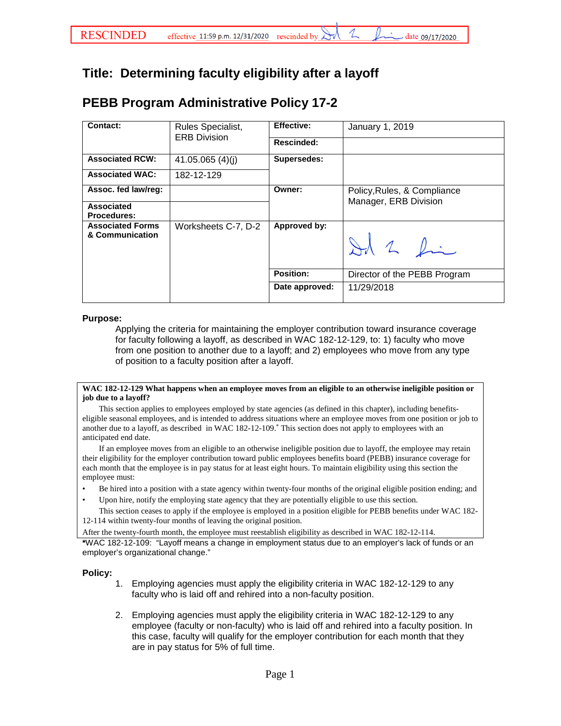# **Title: Determining faculty eligibility after a layoff**

## **PEBB Program Administrative Policy 17-2**

| Contact:                                   | Rules Specialist,<br><b>ERB Division</b> | <b>Effective:</b> | January 1, 2019                                      |
|--------------------------------------------|------------------------------------------|-------------------|------------------------------------------------------|
|                                            |                                          | <b>Rescinded:</b> |                                                      |
| <b>Associated RCW:</b>                     | 41.05.065 $(4)(j)$                       | Supersedes:       |                                                      |
| <b>Associated WAC:</b>                     | 182-12-129                               |                   |                                                      |
| Assoc. fed law/reg:                        |                                          | Owner:            | Policy, Rules, & Compliance<br>Manager, ERB Division |
| Associated<br><b>Procedures:</b>           |                                          |                   |                                                      |
| <b>Associated Forms</b><br>& Communication | Worksheets C-7, D-2                      | Approved by:      | Id 2 Ri                                              |
|                                            |                                          | Position:         | Director of the PEBB Program                         |
|                                            |                                          | Date approved:    | 11/29/2018                                           |

#### **Purpose:**

Applying the criteria for maintaining the employer contribution toward insurance coverage for faculty following a layoff, as described in WAC 182-12-129, to: 1) faculty who move from one position to another due to a layoff; and 2) employees who move from any type of position to a faculty position after a layoff.

#### **WAC 182-12-129 What happens when an employee moves from an eligible to an otherwise ineligible position or job due to a layoff?**

This section applies to employees employed by state agencies (as defined in this chapter), including benefitseligible seasonal employees, and is intended to address situations where an employee moves from one position or job to another due to a layoff, as described in WAC 182-12-109.\* This section does not apply to employees with an anticipated end date.

If an employee moves from an eligible to an otherwise ineligible position due to layoff, the employee may retain their eligibility for the employer contribution toward public employees benefits board (PEBB) insurance coverage for each month that the employee is in pay status for at least eight hours. To maintain eligibility using this section the employee must:

- Be hired into a position with a state agency within twenty-four months of the original eligible position ending; and
- Upon hire, notify the employing state agency that they are potentially eligible to use this section.

This section ceases to apply if the employee is employed in a position eligible for PEBB benefits under WAC 182- 12-114 within twenty-four months of leaving the original position.

After the twenty-fourth month, the employee must reestablish eligibility as described in WAC 182-12-114.

**\***WAC 182-12-109: "Layoff means a change in employment status due to an employer's lack of funds or an employer's organizational change."

### **Policy:**

- 1. Employing agencies must apply the eligibility criteria in WAC 182-12-129 to any faculty who is laid off and rehired into a non-faculty position.
- 2. Employing agencies must apply the eligibility criteria in WAC 182-12-129 to any employee (faculty or non-faculty) who is laid off and rehired into a faculty position. In this case, faculty will qualify for the employer contribution for each month that they are in pay status for 5% of full time.